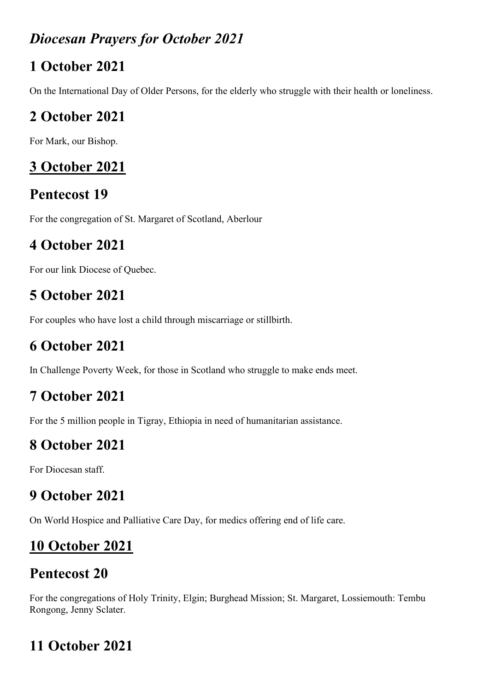#### *Diocesan Prayers for October 2021*

#### **1 October 2021**

On the International Day of Older Persons, for the elderly who struggle with their health or loneliness.

### **2 October 2021**

For Mark, our Bishop.

### **3 October 2021**

# **Pentecost 19**

For the congregation of St. Margaret of Scotland, Aberlour

### **4 October 2021**

For our link Diocese of Quebec.

# **5 October 2021**

For couples who have lost a child through miscarriage or stillbirth.

# **6 October 2021**

In Challenge Poverty Week, for those in Scotland who struggle to make ends meet.

### **7 October 2021**

For the 5 million people in Tigray, Ethiopia in need of humanitarian assistance.

### **8 October 2021**

For Diocesan staff.

### **9 October 2021**

On World Hospice and Palliative Care Day, for medics offering end of life care.

# **10 October 2021**

# **Pentecost 20**

For the congregations of Holy Trinity, Elgin; Burghead Mission; St. Margaret, Lossiemouth: Tembu Rongong, Jenny Sclater.

# **11 October 2021**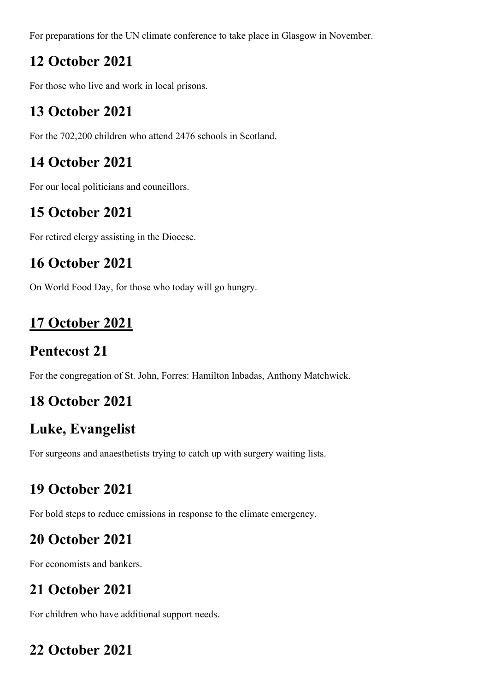For preparations for the UN climate conference to take place in Glasgow in November.

#### **12 October 2021**

For those who live and work in local prisons.

#### **13 October 2021**

For the 702,200 children who attend 2476 schools in Scotland.

#### **14 October 2021**

For our local politicians and councillors.

#### **15 October 2021**

For retired clergy assisting in the Diocese.

#### **16 October 2021**

On World Food Day, for those who today will go hungry.

### **17 October 2021**

### **Pentecost 21**

For the congregation of St. John, Forres: Hamilton Inbadas, Anthony Matchwick.

### **18 October 2021**

### **Luke, Evangelist**

For surgeons and anaesthetists trying to catch up with surgery waiting lists.

### **19 October 2021**

For bold steps to reduce emissions in response to the climate emergency.

### **20 October 2021**

For economists and bankers.

### **21 October 2021**

For children who have additional support needs.

### **22 October 2021**